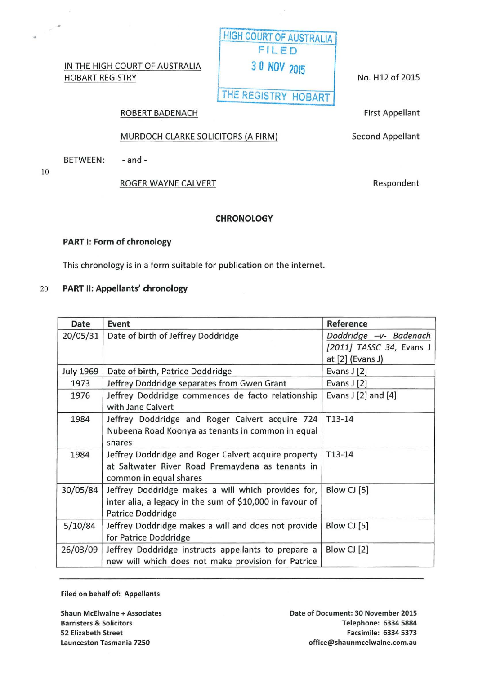## IN THE HIGH COURT OF AUSTRALIA HOBART REGISTRY

No. H 12 of 2015

THE REGISTRY HOBART

### ROBERT BADENACH

# MURDOCH CLARKE SOLICITORS (A FIRM)

BETWEEN: - and -

10

 $\frac{1}{2}$   $\lesssim$ 

## ROGER WAYNE CALVERT

## **CHRONOLOGY**

### PART 1: Form of chronology

This chronology is in a form suitable for publication on the internet.

### 20 PART II: Appellants' chronology

| Date             | Event                                                    | Reference                |
|------------------|----------------------------------------------------------|--------------------------|
| 20/05/31         | Date of birth of Jeffrey Doddridge                       | Doddridge -v- Badenach   |
|                  |                                                          | [2011] TASSC 34, Evans J |
|                  |                                                          | at $[2]$ (Evans J)       |
| <b>July 1969</b> | Date of birth, Patrice Doddridge                         | Evans J [2]              |
| 1973             | Jeffrey Doddridge separates from Gwen Grant              | Evans J [2]              |
| 1976             | Jeffrey Doddridge commences de facto relationship        | Evans $J$ [2] and [4]    |
|                  | with Jane Calvert                                        |                          |
| 1984             | Jeffrey Doddridge and Roger Calvert acquire 724          | T13-14                   |
|                  | Nubeena Road Koonya as tenants in common in equal        |                          |
|                  | shares                                                   |                          |
| 1984             | Jeffrey Doddridge and Roger Calvert acquire property     | $T13-14$                 |
|                  | at Saltwater River Road Premaydena as tenants in         |                          |
|                  | common in equal shares                                   |                          |
| 30/05/84         | Jeffrey Doddridge makes a will which provides for,       | Blow CJ [5]              |
|                  | inter alia, a legacy in the sum of \$10,000 in favour of |                          |
|                  | Patrice Doddridge                                        |                          |
| 5/10/84          | Jeffrey Doddridge makes a will and does not provide      | Blow CJ [5]              |
|                  | for Patrice Doddridge                                    |                          |
| 26/03/09         | Jeffrey Doddridge instructs appellants to prepare a      | Blow CJ [2]              |
|                  | new will which does not make provision for Patrice       |                          |

Filed on behalf of: Appellants

Shaun McEiwaine +Associates Barristers & Solicitors 52 Elizabeth Street Launceston Tasmania 7250

First Appellant

Second Appellant

Respondent

HIGH COURT OF AUSTRALIA FILED 3 0 NOV <sup>2015</sup>